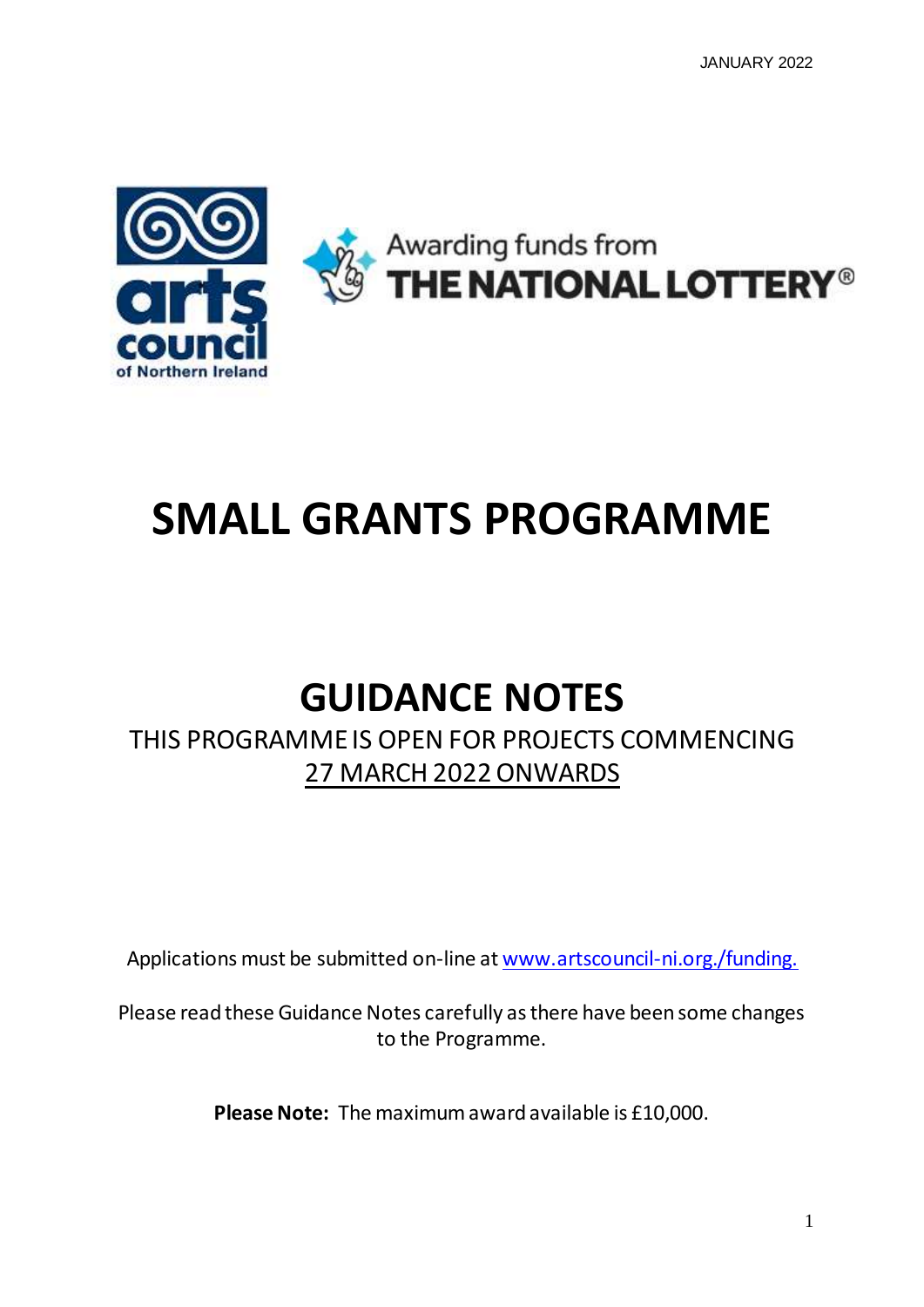

# **SMALL GRANTS PROGRAMME**

## **GUIDANCE NOTES**

## THIS PROGRAMME IS OPEN FOR PROJECTS COMMENCING 27 MARCH 2022 ONWARDS

Applications must be submitted on-line at [www.artscouncil-ni.org./funding.](http://www.artscouncil-ni.org./funding)

Please read these Guidance Notes carefully as there have been some changes to the Programme.

**Please Note:** The maximum award available is £10,000.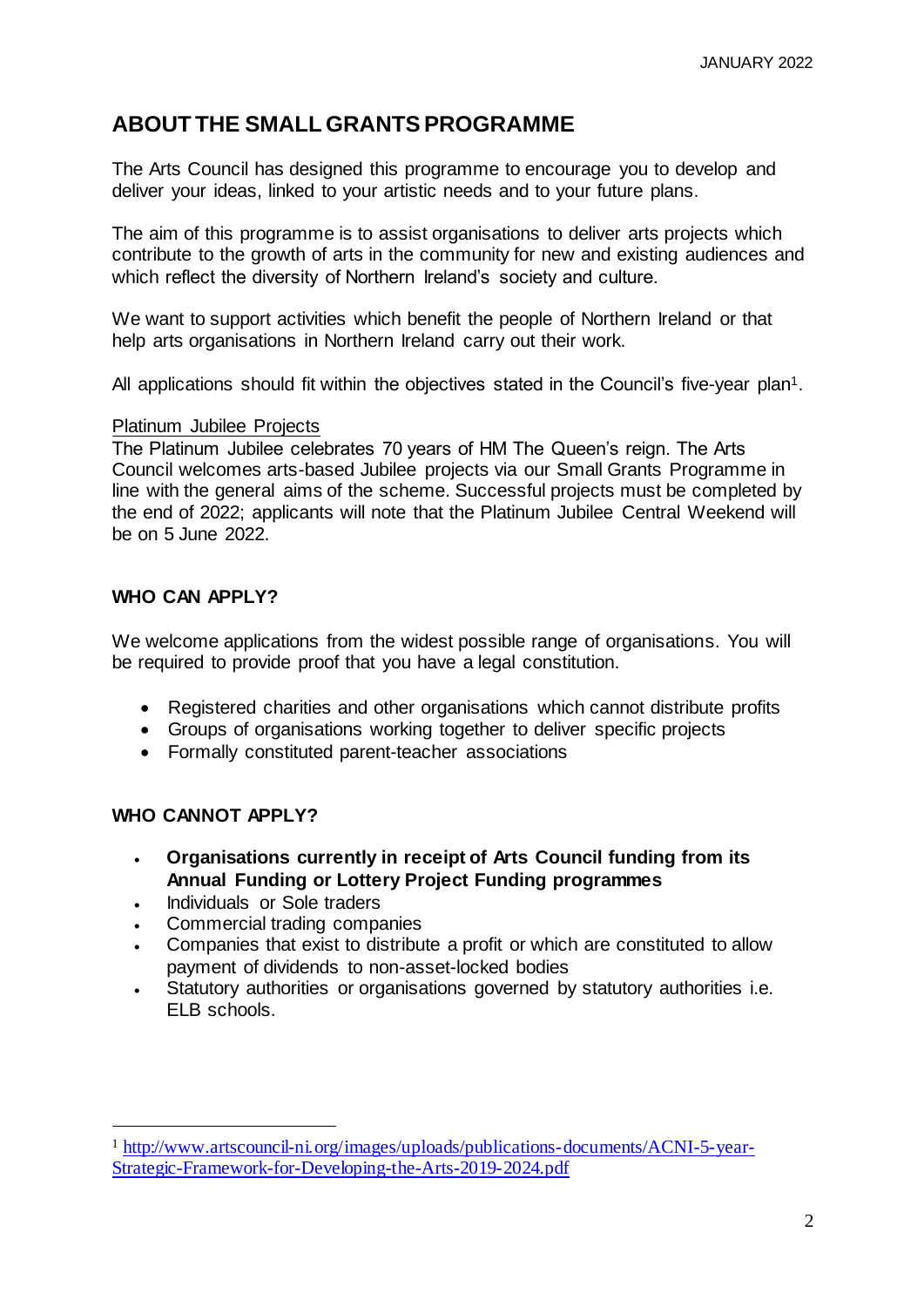## **ABOUT THE SMALL GRANTS PROGRAMME**

The Arts Council has designed this programme to encourage you to develop and deliver your ideas, linked to your artistic needs and to your future plans.

The aim of this programme is to assist organisations to deliver arts projects which contribute to the growth of arts in the community for new and existing audiences and which reflect the diversity of Northern Ireland's society and culture.

We want to support activities which benefit the people of Northern Ireland or that help arts organisations in Northern Ireland carry out their work.

All applications should fit within the objectives stated in the Council's five-year plan<sup>1</sup>.

#### Platinum Jubilee Projects

The Platinum Jubilee celebrates 70 years of HM The Queen's reign. The Arts Council welcomes arts-based Jubilee projects via our Small Grants Programme in line with the general aims of the scheme. Successful projects must be completed by the end of 2022; applicants will note that the Platinum Jubilee Central Weekend will be on 5 June 2022.

## **WHO CAN APPLY?**

We welcome applications from the widest possible range of organisations. You will be required to provide proof that you have a legal constitution.

- Registered charities and other organisations which cannot distribute profits
- Groups of organisations working together to deliver specific projects
- Formally constituted parent-teacher associations

## **WHO CANNOT APPLY?**

l

- **Organisations currently in receipt of Arts Council funding from its Annual Funding or Lottery Project Funding programmes**
- Individuals or Sole traders
- Commercial trading companies
- Companies that exist to distribute a profit or which are constituted to allow payment of dividends to non-asset-locked bodies
- Statutory authorities or organisations governed by statutory authorities i.e. ELB schools.

<sup>1</sup> [http://www.artscouncil-ni.org/images/uploads/publications-documents/ACNI-5-year-](http://www.artscouncil-ni.org/images/uploads/publications-documents/ACNI-5-year-Strategic-Framework-for-Developing-the-Arts-2019-2024.pdf)[Strategic-Framework-for-Developing-the-Arts-2019-2024.pdf](http://www.artscouncil-ni.org/images/uploads/publications-documents/ACNI-5-year-Strategic-Framework-for-Developing-the-Arts-2019-2024.pdf)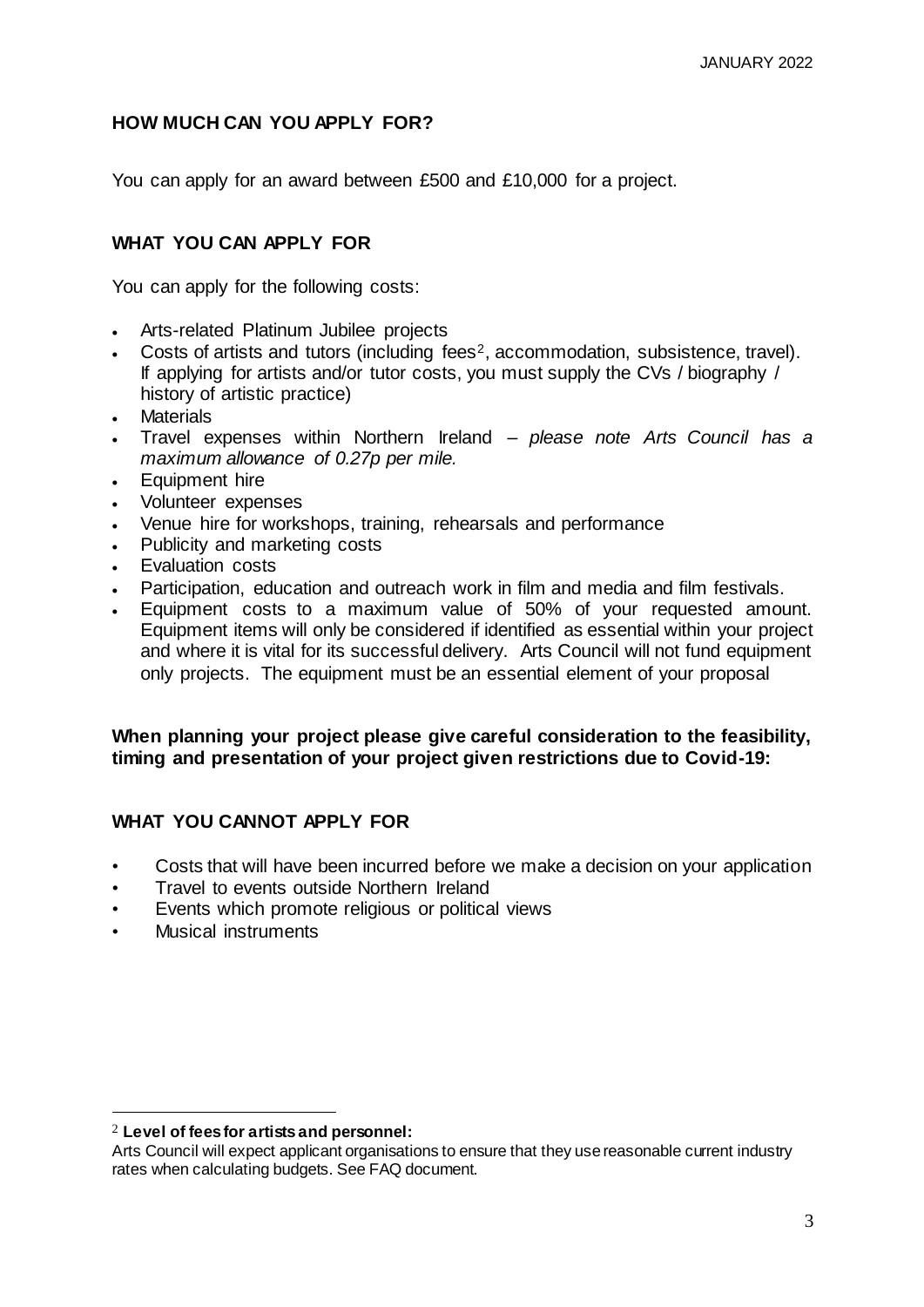## **HOW MUCH CAN YOU APPLY FOR?**

You can apply for an award between £500 and £10,000 for a project.

## **WHAT YOU CAN APPLY FOR**

You can apply for the following costs:

- Arts-related Platinum Jubilee projects
- Costs of artists and tutors (including fees2, accommodation, subsistence, travel). If applying for artists and/or tutor costs, you must supply the CVs / biography / history of artistic practice)
- **Materials**
- Travel expenses within Northern Ireland *please note Arts Council has a maximum allowance of 0.27p per mile.*
- Equipment hire
- Volunteer expenses
- Venue hire for workshops, training, rehearsals and performance
- Publicity and marketing costs
- Evaluation costs
- Participation, education and outreach work in film and media and film festivals.
- Equipment costs to a maximum value of 50% of your requested amount. Equipment items will only be considered if identified as essential within your project and where it is vital for its successful delivery. Arts Council will not fund equipment only projects. The equipment must be an essential element of your proposal

#### **When planning your project please give careful consideration to the feasibility, timing and presentation of your project given restrictions due to Covid-19:**

## **WHAT YOU CANNOT APPLY FOR**

- Costs that will have been incurred before we make a decision on your application
- Travel to events outside Northern Ireland
- Events which promote religious or political views
- Musical instruments

l

<sup>2</sup> **Level of fees for artists and personnel:**

Arts Council will expect applicant organisations to ensure that they use reasonable current industry rates when calculating budgets. See FAQ document.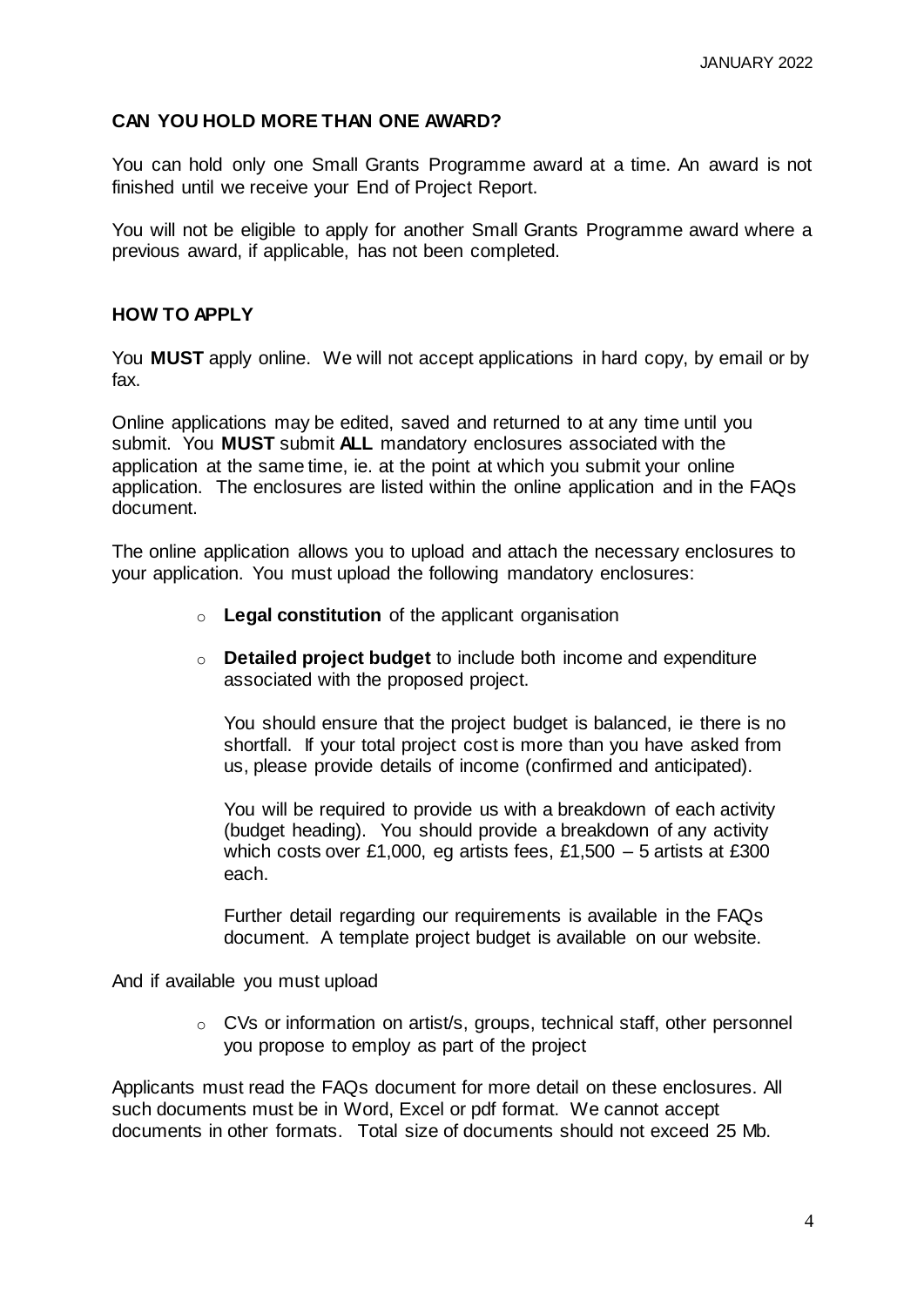## **CAN YOU HOLD MORE THAN ONE AWARD?**

You can hold only one Small Grants Programme award at a time. An award is not finished until we receive your End of Project Report.

You will not be eligible to apply for another Small Grants Programme award where a previous award, if applicable, has not been completed.

## **HOW TO APPLY**

You **MUST** apply online. We will not accept applications in hard copy, by email or by fax.

Online applications may be edited, saved and returned to at any time until you submit. You **MUST** submit **ALL** mandatory enclosures associated with the application at the same time, ie. at the point at which you submit your online application. The enclosures are listed within the online application and in the FAQs document.

The online application allows you to upload and attach the necessary enclosures to your application. You must upload the following mandatory enclosures:

- o **Legal constitution** of the applicant organisation
- o **Detailed project budget** to include both income and expenditure associated with the proposed project.

You should ensure that the project budget is balanced, ie there is no shortfall. If your total project cost is more than you have asked from us, please provide details of income (confirmed and anticipated).

You will be required to provide us with a breakdown of each activity (budget heading). You should provide a breakdown of any activity which costs over £1,000, eg artists fees, £1,500  $-5$  artists at £300 each.

Further detail regarding our requirements is available in the FAQs document. A template project budget is available on our website.

And if available you must upload

o CVs or information on artist/s, groups, technical staff, other personnel you propose to employ as part of the project

Applicants must read the FAQs document for more detail on these enclosures. All such documents must be in Word, Excel or pdf format. We cannot accept documents in other formats. Total size of documents should not exceed 25 Mb.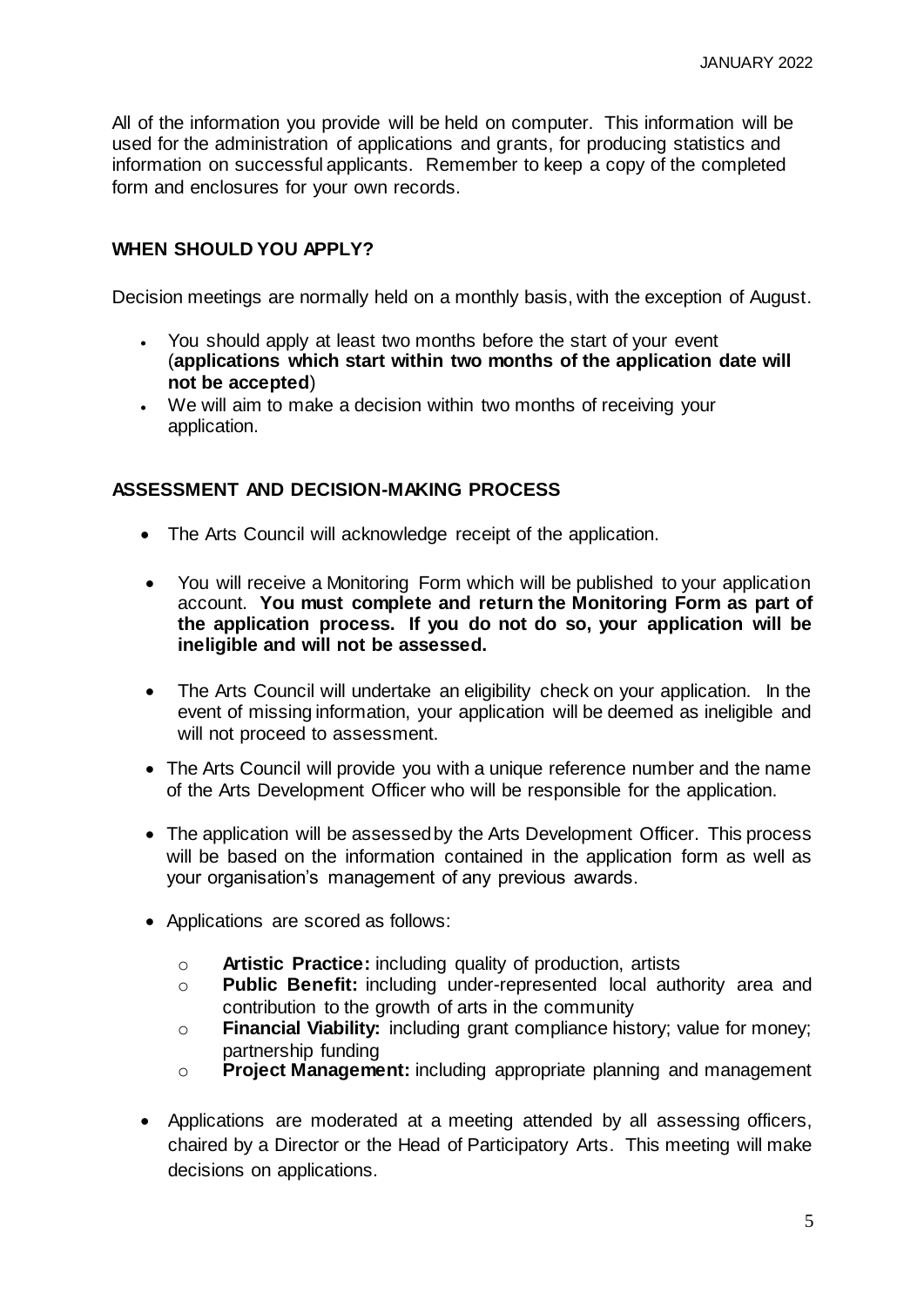All of the information you provide will be held on computer. This information will be used for the administration of applications and grants, for producing statistics and information on successful applicants. Remember to keep a copy of the completed form and enclosures for your own records.

#### **WHEN SHOULD YOU APPLY?**

Decision meetings are normally held on a monthly basis, with the exception of August.

- You should apply at least two months before the start of your event (**applications which start within two months of the application date will not be accepted**)
- We will aim to make a decision within two months of receiving your application.

#### **ASSESSMENT AND DECISION-MAKING PROCESS**

- The Arts Council will acknowledge receipt of the application.
- You will receive a Monitoring Form which will be published to your application account. **You must complete and return the Monitoring Form as part of the application process. If you do not do so, your application will be ineligible and will not be assessed.**
- The Arts Council will undertake an eligibility check on your application. In the event of missing information, your application will be deemed as ineligible and will not proceed to assessment.
- The Arts Council will provide you with a unique reference number and the name of the Arts Development Officer who will be responsible for the application.
- The application will be assessed by the Arts Development Officer. This process will be based on the information contained in the application form as well as your organisation's management of any previous awards.
- Applications are scored as follows:
	- o **Artistic Practice:** including quality of production, artists
	- o **Public Benefit:** including under-represented local authority area and contribution to the growth of arts in the community
	- o **Financial Viability:** including grant compliance history; value for money; partnership funding
	- o **Project Management:** including appropriate planning and management
- Applications are moderated at a meeting attended by all assessing officers, chaired by a Director or the Head of Participatory Arts. This meeting will make decisions on applications.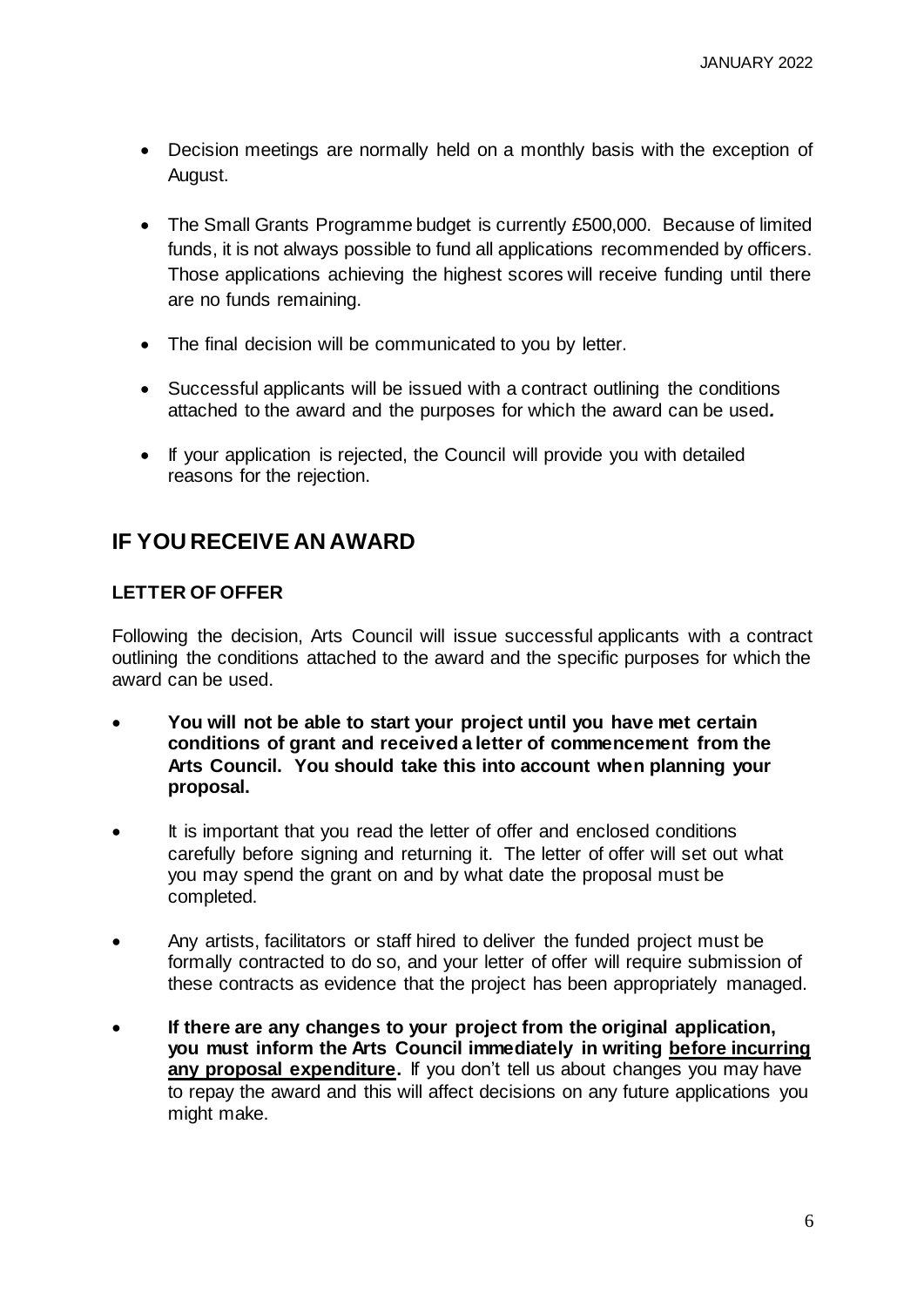- Decision meetings are normally held on a monthly basis with the exception of August.
- The Small Grants Programme budget is currently £500,000. Because of limited funds, it is not always possible to fund all applications recommended by officers. Those applications achieving the highest scores will receive funding until there are no funds remaining.
- The final decision will be communicated to you by letter.
- Successful applicants will be issued with a contract outlining the conditions attached to the award and the purposes for which the award can be used*.*
- If your application is rejected, the Council will provide you with detailed reasons for the rejection.

## **IF YOU RECEIVE AN AWARD**

#### **LETTER OF OFFER**

Following the decision, Arts Council will issue successful applicants with a contract outlining the conditions attached to the award and the specific purposes for which the award can be used.

- **You will not be able to start your project until you have met certain conditions of grant and received a letter of commencement from the Arts Council. You should take this into account when planning your proposal.**
- It is important that you read the letter of offer and enclosed conditions carefully before signing and returning it. The letter of offer will set out what you may spend the grant on and by what date the proposal must be completed.
- Any artists, facilitators or staff hired to deliver the funded project must be formally contracted to do so, and your letter of offer will require submission of these contracts as evidence that the project has been appropriately managed.
- **If there are any changes to your project from the original application, you must inform the Arts Council immediately in writing before incurring any proposal expenditure.** If you don't tell us about changes you may have to repay the award and this will affect decisions on any future applications you might make.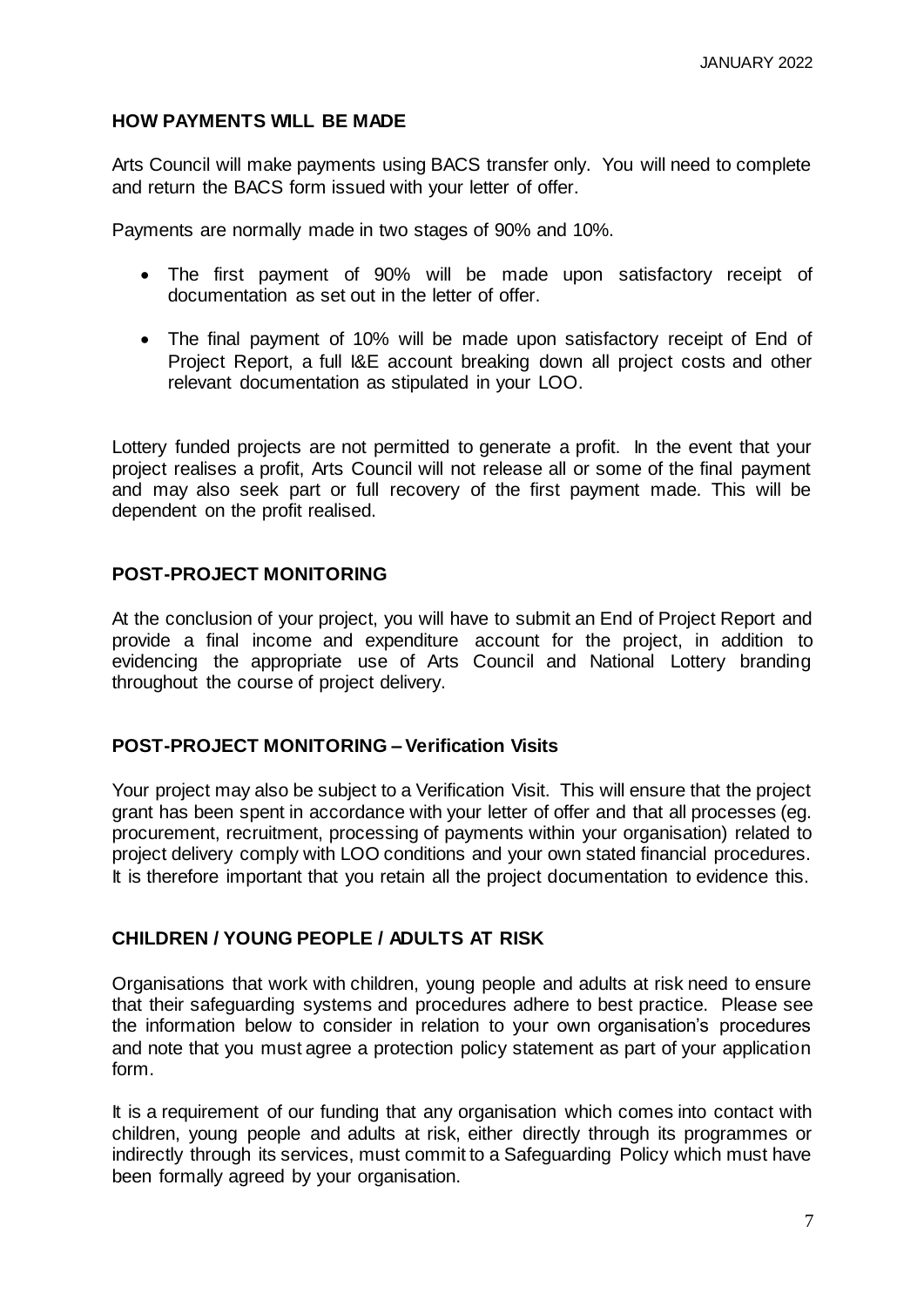## **HOW PAYMENTS WILL BE MADE**

Arts Council will make payments using BACS transfer only. You will need to complete and return the BACS form issued with your letter of offer.

Payments are normally made in two stages of 90% and 10%.

- The first payment of 90% will be made upon satisfactory receipt of documentation as set out in the letter of offer.
- The final payment of 10% will be made upon satisfactory receipt of End of Project Report, a full I&E account breaking down all project costs and other relevant documentation as stipulated in your LOO.

Lottery funded projects are not permitted to generate a profit. In the event that your project realises a profit, Arts Council will not release all or some of the final payment and may also seek part or full recovery of the first payment made. This will be dependent on the profit realised.

## **POST-PROJECT MONITORING**

At the conclusion of your project, you will have to submit an End of Project Report and provide a final income and expenditure account for the project, in addition to evidencing the appropriate use of Arts Council and National Lottery branding throughout the course of project delivery.

## **POST-PROJECT MONITORING – Verification Visits**

Your project may also be subject to a Verification Visit. This will ensure that the project grant has been spent in accordance with your letter of offer and that all processes (eg. procurement, recruitment, processing of payments within your organisation) related to project delivery comply with LOO conditions and your own stated financial procedures. It is therefore important that you retain all the project documentation to evidence this.

## **CHILDREN / YOUNG PEOPLE / ADULTS AT RISK**

Organisations that work with children, young people and adults at risk need to ensure that their safeguarding systems and procedures adhere to best practice. Please see the information below to consider in relation to your own organisation's procedures and note that you must agree a protection policy statement as part of your application form.

It is a requirement of our funding that any organisation which comes into contact with children, young people and adults at risk, either directly through its programmes or indirectly through its services, must commit to a Safeguarding Policy which must have been formally agreed by your organisation.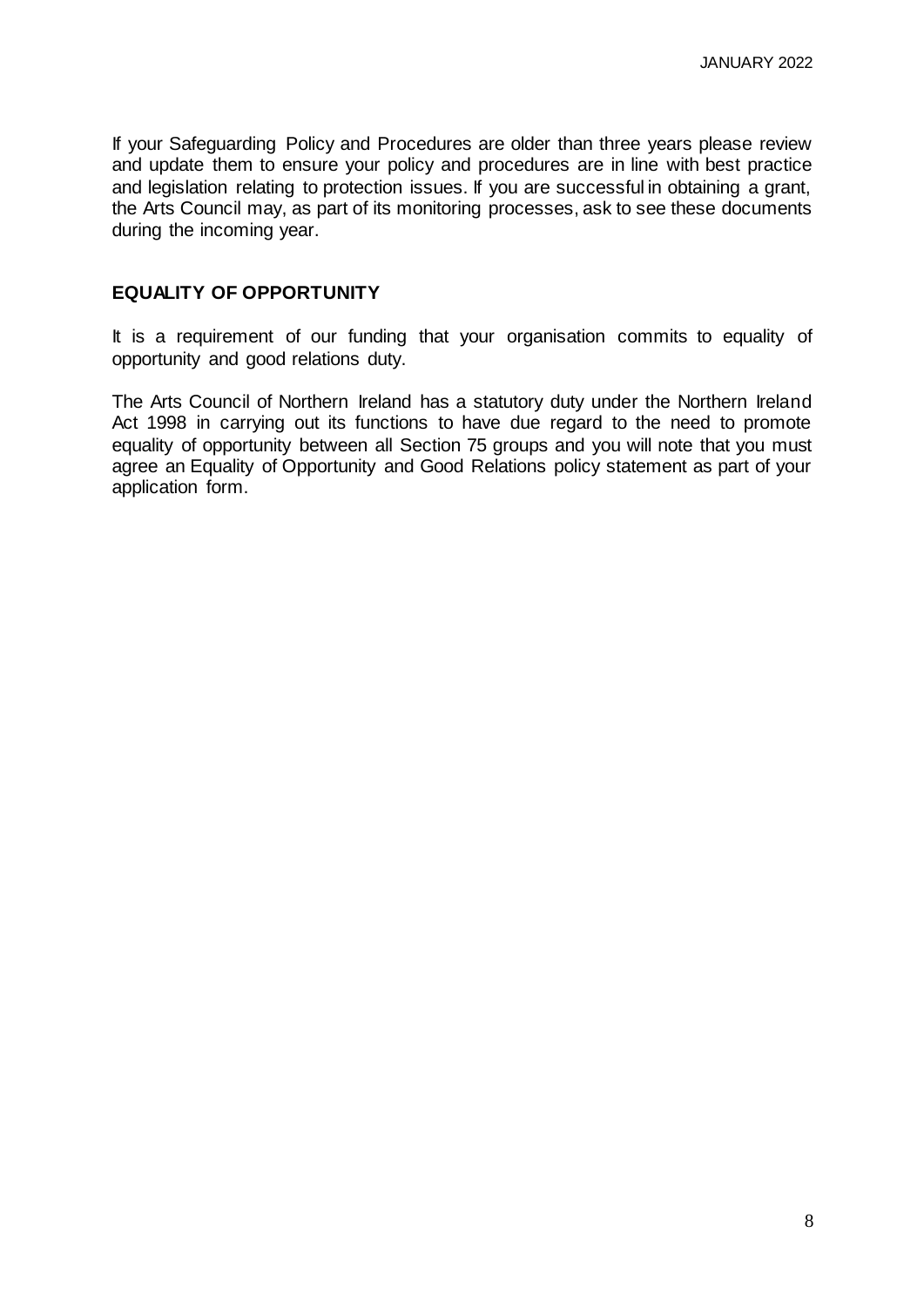If your Safeguarding Policy and Procedures are older than three years please review and update them to ensure your policy and procedures are in line with best practice and legislation relating to protection issues. If you are successful in obtaining a grant, the Arts Council may, as part of its monitoring processes, ask to see these documents during the incoming year.

#### **EQUALITY OF OPPORTUNITY**

It is a requirement of our funding that your organisation commits to equality of opportunity and good relations duty.

The Arts Council of Northern Ireland has a statutory duty under the Northern Ireland Act 1998 in carrying out its functions to have due regard to the need to promote equality of opportunity between all Section 75 groups and you will note that you must agree an Equality of Opportunity and Good Relations policy statement as part of your application form.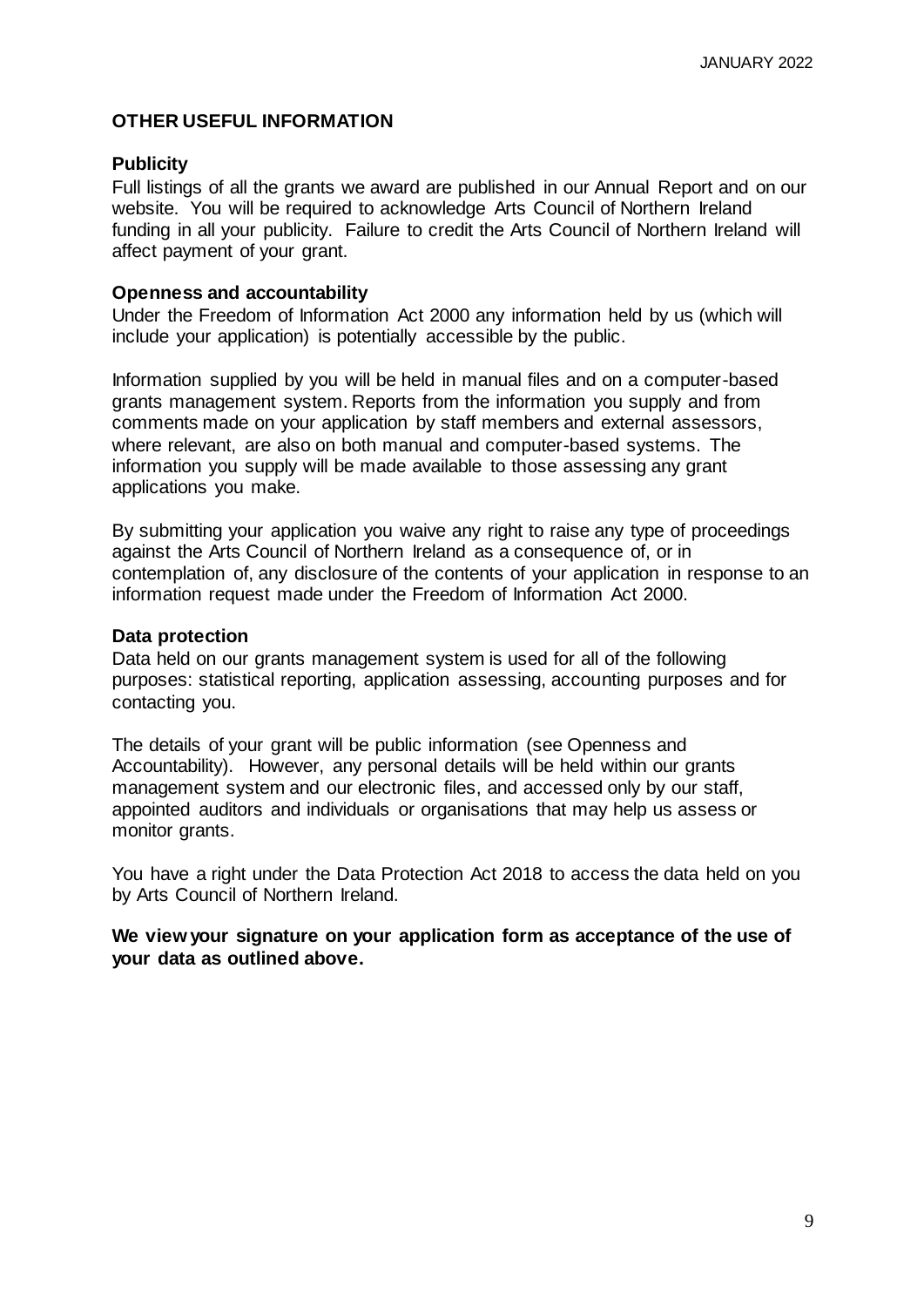#### **OTHER USEFUL INFORMATION**

#### **Publicity**

Full listings of all the grants we award are published in our Annual Report and on our website. You will be required to acknowledge Arts Council of Northern Ireland funding in all your publicity. Failure to credit the Arts Council of Northern Ireland will affect payment of your grant.

#### **Openness and accountability**

Under the Freedom of Information Act 2000 any information held by us (which will include your application) is potentially accessible by the public.

Information supplied by you will be held in manual files and on a computer-based grants management system. Reports from the information you supply and from comments made on your application by staff members and external assessors, where relevant, are also on both manual and computer-based systems. The information you supply will be made available to those assessing any grant applications you make.

By submitting your application you waive any right to raise any type of proceedings against the Arts Council of Northern Ireland as a consequence of, or in contemplation of, any disclosure of the contents of your application in response to an information request made under the Freedom of Information Act 2000.

#### **Data protection**

Data held on our grants management system is used for all of the following purposes: statistical reporting, application assessing, accounting purposes and for contacting you.

The details of your grant will be public information (see Openness and Accountability). However, any personal details will be held within our grants management system and our electronic files, and accessed only by our staff, appointed auditors and individuals or organisations that may help us assess or monitor grants.

You have a right under the Data Protection Act 2018 to access the data held on you by Arts Council of Northern Ireland.

**We view your signature on your application form as acceptance of the use of your data as outlined above.**